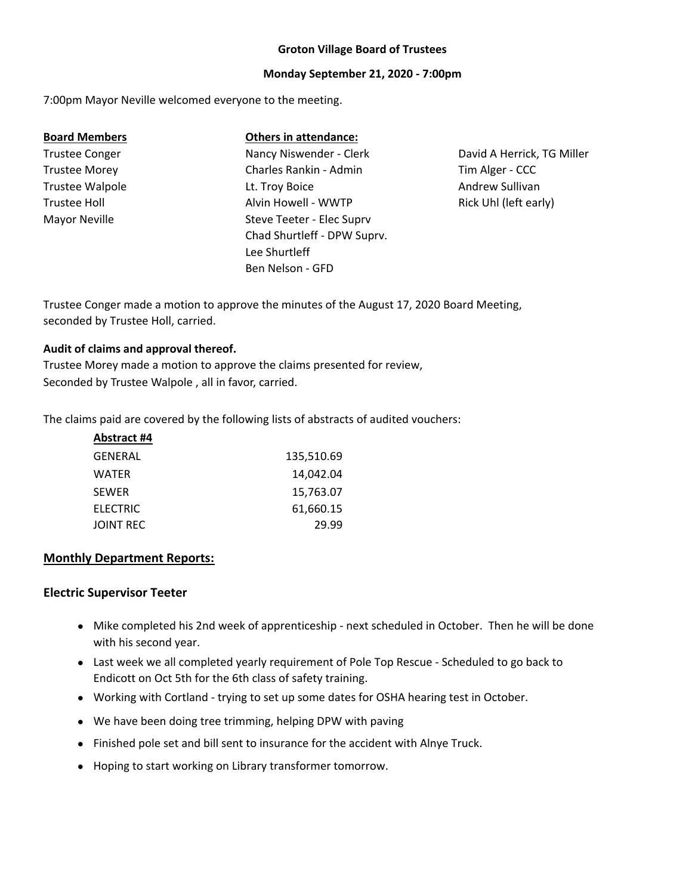### **Groton Village Board of Trustees**

#### **Monday September 21, 2020 ‐ 7:00pm**

7:00pm Mayor Neville welcomed everyone to the meeting.

| <b>Board Members</b>   | <b>Others in attendance:</b> |        |
|------------------------|------------------------------|--------|
| <b>Trustee Conger</b>  | Nancy Niswender - Clerk      | Davic  |
| <b>Trustee Morey</b>   | Charles Rankin - Admin       | Tim A  |
| <b>Trustee Walpole</b> | Lt. Troy Boice               | Andr   |
| <b>Trustee Holl</b>    | Alvin Howell - WWTP          | Rick I |
| <b>Mayor Neville</b>   | Steve Teeter - Elec Suprv    |        |
|                        | Chad Shurtleff - DPW Suprv.  |        |
|                        | Lee Shurtleff                |        |
|                        | Ben Nelson - GFD             |        |

d A Herrick, TG Miller Alger - CCC ew Sullivan Uhl (left early)

seconded by Trustee Holl, carried. Trustee Conger made a motion to approve the minutes of the August 17, 2020 Board Meeting,

#### **Audit of claims and approval thereof.**

Trustee Morey made a motion to approve the claims presented for review, Seconded by Trustee Walpole , all in favor, carried.

The claims paid are covered by the following lists of abstracts of audited vouchers:

| Abstract #4     |            |
|-----------------|------------|
| GENERAL         | 135,510.69 |
| WATER           | 14,042.04  |
| SEWER           | 15,763.07  |
| <b>ELECTRIC</b> | 61,660.15  |
| JOINT REC       | 29.99      |

### **Monthly Department Reports:**

#### **Electric Supervisor Teeter**

- Mike completed his 2nd week of apprenticeship ‐ next scheduled in October. Then he will be done with his second year.
- Last week we all completed yearly requirement of Pole Top Rescue ‐ Scheduled to go back to Endicott on Oct 5th for the 6th class of safety training.
- Working with Cortland trying to set up some dates for OSHA hearing test in October.
- We have been doing tree trimming, helping DPW with paving
- Finished pole set and bill sent to insurance for the accident with Alnye Truck.
- Hoping to start working on Library transformer tomorrow.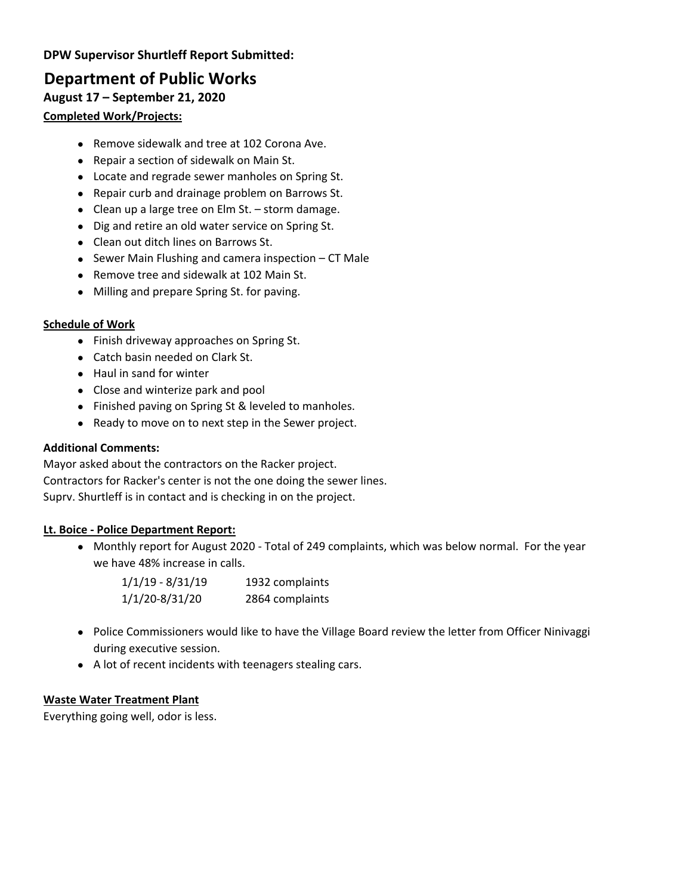## **DPW Supervisor Shurtleff Report Submitted:**

# **Department of Public Works**

## **August 17 – September 21, 2020**

## **Completed Work/Projects:**

- Remove sidewalk and tree at 102 Corona Ave.
- Repair a section of sidewalk on Main St.
- Locate and regrade sewer manholes on Spring St.
- Repair curb and drainage problem on Barrows St.
- Clean up a large tree on Elm St. storm damage.
- Dig and retire an old water service on Spring St.
- Clean out ditch lines on Barrows St.
- $\bullet$  Sewer Main Flushing and camera inspection CT Male
- Remove tree and sidewalk at 102 Main St.
- Milling and prepare Spring St. for paving.

## **Schedule of Work**

- Finish driveway approaches on Spring St.
- Catch basin needed on Clark St.
- Haul in sand for winter
- Close and winterize park and pool
- Finished paving on Spring St & leveled to manholes.
- Ready to move on to next step in the Sewer project.

## **Additional Comments:**

Mayor asked about the contractors on the Racker project. Contractors for Racker's center is not the one doing the sewer lines. Suprv. Shurtleff is in contact and is checking in on the project.

## **Lt. Boice ‐ Police Department Report:**

 Monthly report for August 2020 ‐ Total of 249 complaints, which was below normal. For the year we have 48% increase in calls.

| $1/1/19 - 8/31/19$ | 1932 complaints |
|--------------------|-----------------|
| 1/1/20-8/31/20     | 2864 complaints |

- Police Commissioners would like to have the Village Board review the letter from Officer Ninivaggi during executive session.
- A lot of recent incidents with teenagers stealing cars.

## **Waste Water Treatment Plant**

Everything going well, odor is less.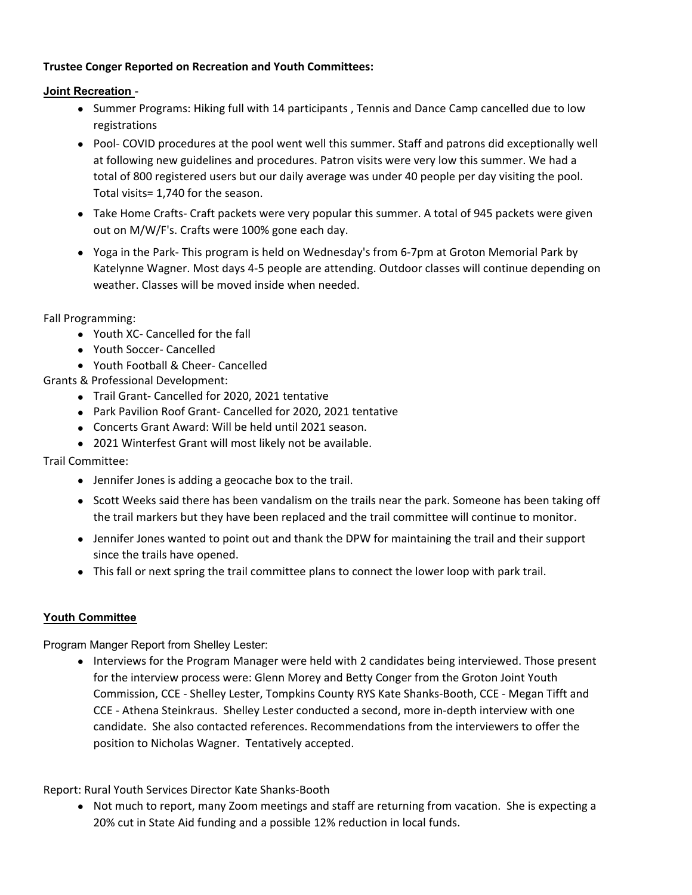## **Trustee Conger Reported on Recreation and Youth Committees:**

## **Joint Recreation** -

- Summer Programs: Hiking full with 14 participants , Tennis and Dance Camp cancelled due to low registrations
- Pool- COVID procedures at the pool went well this summer. Staff and patrons did exceptionally well at following new guidelines and procedures. Patron visits were very low this summer. We had a total of 800 registered users but our daily average was under 40 people per day visiting the pool. Total visits= 1,740 for the season.
- Take Home Crafts- Craft packets were very popular this summer. A total of 945 packets were given out on M/W/F's. Crafts were 100% gone each day.
- Yoga in the Park‐ This program is held on Wednesday's from 6‐7pm at Groton Memorial Park by Katelynne Wagner. Most days 4‐5 people are attending. Outdoor classes will continue depending on weather. Classes will be moved inside when needed.

Fall Programming:

- Youth XC- Cancelled for the fall
- Youth Soccer- Cancelled
- Youth Football & Cheer- Cancelled

Grants & Professional Development:

- Trail Grant- Cancelled for 2020, 2021 tentative
- Park Pavilion Roof Grant- Cancelled for 2020, 2021 tentative
- Concerts Grant Award: Will be held until 2021 season.
- 2021 Winterfest Grant will most likely not be available.

Trail Committee:

- Jennifer Jones is adding a geocache box to the trail.
- Scott Weeks said there has been vandalism on the trails near the park. Someone has been taking off the trail markers but they have been replaced and the trail committee will continue to monitor.
- Jennifer Jones wanted to point out and thank the DPW for maintaining the trail and their support since the trails have opened.
- This fall or next spring the trail committee plans to connect the lower loop with park trail.

## **Youth Committee**

Program Manger Report from Shelley Lester:

• Interviews for the Program Manager were held with 2 candidates being interviewed. Those present for the interview process were: Glenn Morey and Betty Conger from the Groton Joint Youth Commission, CCE ‐ Shelley Lester, Tompkins County RYS Kate Shanks‐Booth, CCE ‐ Megan Tifft and CCE ‐ Athena Steinkraus. Shelley Lester conducted a second, more in‐depth interview with one candidate. She also contacted references. Recommendations from the interviewers to offer the position to Nicholas Wagner. Tentatively accepted.

Report: Rural Youth Services Director Kate Shanks‐Booth

 Not much to report, many Zoom meetings and staff are returning from vacation. She is expecting a 20% cut in State Aid funding and a possible 12% reduction in local funds.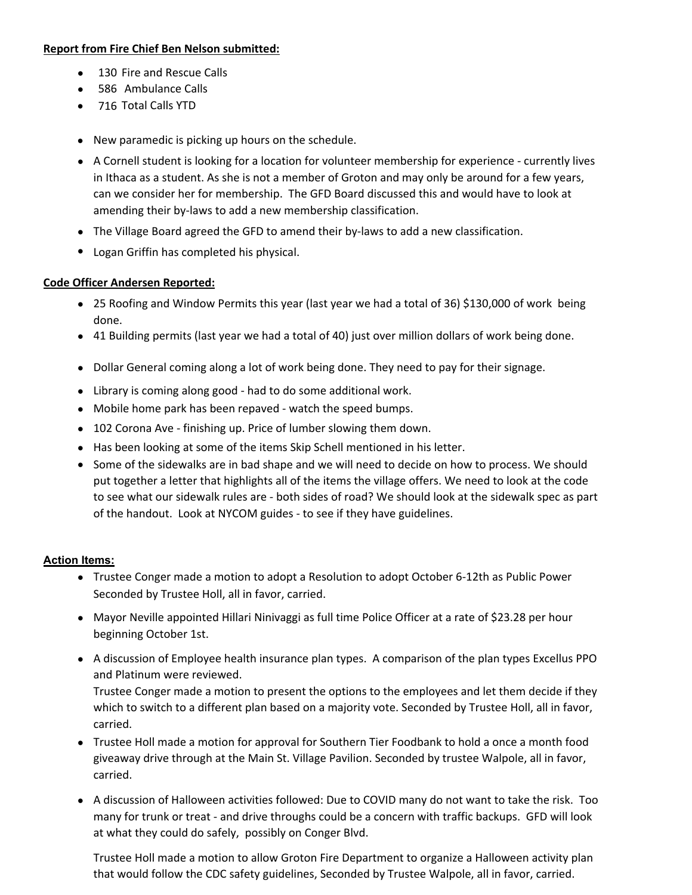#### **Report from Fire Chief Ben Nelson submitted:**

- 130 Fire and Rescue Calls
- 586 Ambulance Calls
- 716 Total Calls YTD
- New paramedic is picking up hours on the schedule.
- A Cornell student is looking for a location for volunteer membership for experience ‐ currently lives in Ithaca as a student. As she is not a member of Groton and may only be around for a few years, can we consider her for membership. The GFD Board discussed this and would have to look at amending their by-laws to add a new membership classification.
- The Village Board agreed the GFD to amend their by-laws to add a new classification.
- Logan Griffin has completed his physical.

#### **Code Officer Andersen Reported:**

- 25 Roofing and Window Permits this year (last year we had a total of 36) \$130,000 of work being done.
- 41 Building permits (last year we had a total of 40) just over million dollars of work being done.
- Dollar General coming along a lot of work being done. They need to pay for their signage.
- Library is coming along good ‐ had to do some additional work.
- Mobile home park has been repaved ‐ watch the speed bumps.
- 102 Corona Ave finishing up. Price of lumber slowing them down.
- Has been looking at some of the items Skip Schell mentioned in his letter.
- Some of the sidewalks are in bad shape and we will need to decide on how to process. We should put together a letter that highlights all of the items the village offers. We need to look at the code to see what our sidewalk rules are ‐ both sides of road? We should look at the sidewalk spec as part of the handout. Look at NYCOM guides ‐ to see if they have guidelines.

#### **Action Items:**

- Trustee Conger made a motion to adopt a Resolution to adopt October 6‐12th as Public Power Seconded by Trustee Holl, all in favor, carried.
- Mayor Neville appointed Hillari Ninivaggi as full time Police Officer at a rate of \$23.28 per hour beginning October 1st.
- A discussion of Employee health insurance plan types. A comparison of the plan types Excellus PPO and Platinum were reviewed.

Trustee Conger made a motion to present the options to the employees and let them decide if they which to switch to a different plan based on a majority vote. Seconded by Trustee Holl, all in favor, carried.

- Trustee Holl made a motion for approval for Southern Tier Foodbank to hold a once a month food giveaway drive through at the Main St. Village Pavilion. Seconded by trustee Walpole, all in favor, carried.
- A discussion of Halloween activities followed: Due to COVID many do not want to take the risk. Too many for trunk or treat ‐ and drive throughs could be a concern with traffic backups. GFD will look at what they could do safely, possibly on Conger Blvd.

Trustee Holl made a motion to allow Groton Fire Department to organize a Halloween activity plan that would follow the CDC safety guidelines, Seconded by Trustee Walpole, all in favor, carried.